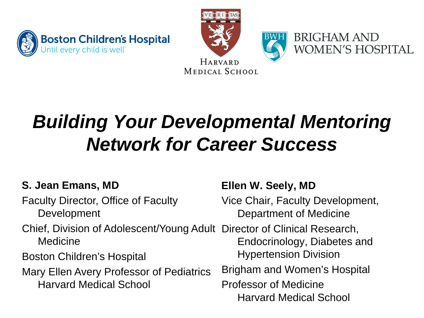





# *Building Your Developmental Mentoring Network for Career Success*

### **S. Jean Emans, MD**

- Faculty Director, Office of Faculty Development
- Chief, Division of Adolescent/Young Adult Director of Clinical Research, Medicine
- Boston Children's Hospital
- Mary Ellen Avery Professor of Pediatrics Harvard Medical School

### **Ellen W. Seely, MD**

Vice Chair, Faculty Development, Department of Medicine

Endocrinology, Diabetes and Hypertension Division

- Brigham and Women's Hospital Professor of Medicine
	- Harvard Medical School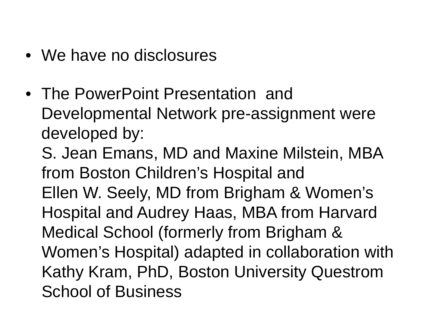- We have no disclosures
- The PowerPoint Presentation and Developmental Network pre-assignment were developed by:

S. Jean Emans, MD and Maxine Milstein, MBA from Boston Children's Hospital and Ellen W. Seely, MD from Brigham & Women's Hospital and Audrey Haas, MBA from Harvard Medical School (formerly from Brigham & Women's Hospital) adapted in collaboration with Kathy Kram, PhD, Boston University Questrom School of Business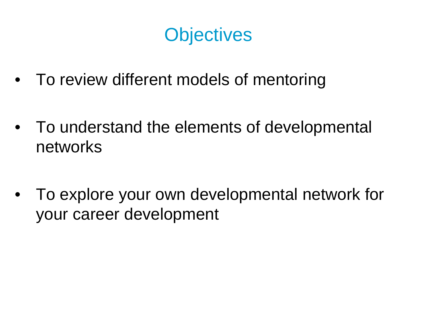## **Objectives**

- To review different models of mentoring
- To understand the elements of developmental networks
- To explore your own developmental network for your career development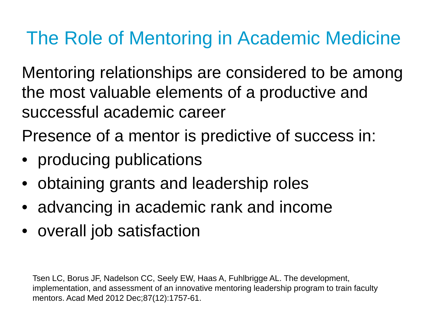# The Role of Mentoring in Academic Medicine

Mentoring relationships are considered to be among the most valuable elements of a productive and successful academic career

Presence of a mentor is predictive of success in:

- producing publications
- obtaining grants and leadership roles
- advancing in academic rank and income
- overall job satisfaction

Tsen LC, Borus JF, Nadelson CC, Seely EW, Haas A, Fuhlbrigge AL. The development, implementation, and assessment of an innovative mentoring leadership program to train faculty mentors. Acad Med 2012 Dec;87(12):1757-61.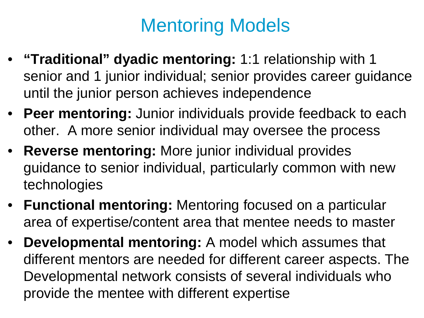# Mentoring Models

- **"Traditional" dyadic mentoring:** 1:1 relationship with 1 senior and 1 junior individual; senior provides career guidance until the junior person achieves independence
- **Peer mentoring:** Junior individuals provide feedback to each other. A more senior individual may oversee the process
- **Reverse mentoring:** More junior individual provides guidance to senior individual, particularly common with new technologies
- **Functional mentoring:** Mentoring focused on a particular area of expertise/content area that mentee needs to master
- **Developmental mentoring:** A model which assumes that different mentors are needed for different career aspects. The Developmental network consists of several individuals who provide the mentee with different expertise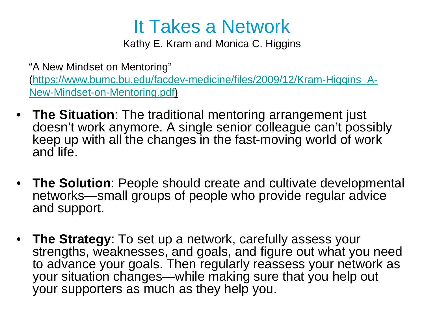## It Takes a Network

Kathy E. Kram and Monica C. Higgins

"A New Mindset on Mentoring" [\(https://www.bumc.bu.edu/facdev-medicine/files/2009/12/Kram-Higgins\\_A-](https://www.bumc.bu.edu/facdev-medicine/files/2009/12/Kram-Higgins_A-New-Mindset-on-Mentoring.pdf)New-Mindset-on-Mentoring.pdf)

- **The Situation**: The traditional mentoring arrangement just doesn't work anymore. A single senior colleague can't possibly keep up with all the changes in the fast-moving world of work and life.
- **The Solution**: People should create and cultivate developmental networks—small groups of people who provide regular advice and support.
- **The Strategy**: To set up a network, carefully assess your strengths, weaknesses, and goals, and figure out what you need to advance your goals. Then regularly reassess your network as your situation changes—while making sure that you help out your supporters as much as they help you.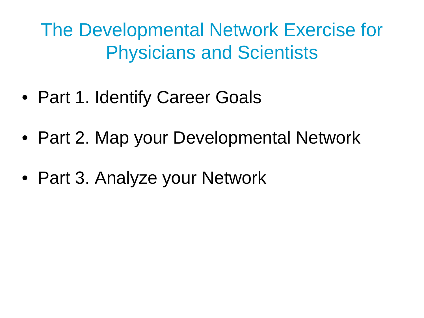The Developmental Network Exercise for Physicians and Scientists

- Part 1. Identify Career Goals
- Part 2. Map your Developmental Network
- Part 3. Analyze your Network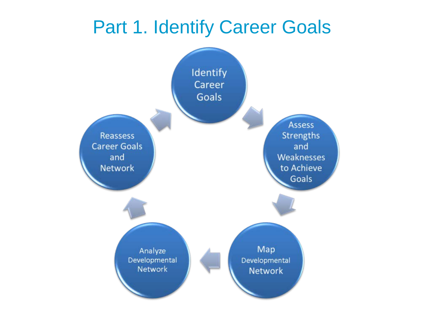## Part 1. Identify Career Goals

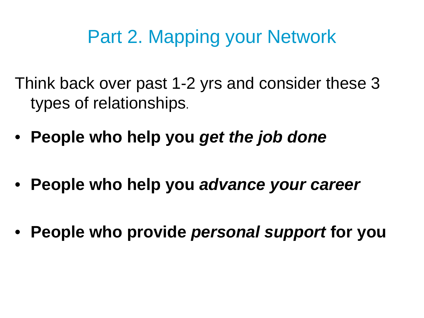# Part 2. Mapping your Network

Think back over past 1-2 yrs and consider these 3 types of relationships.

- **People who help you** *get the job done*
- **People who help you** *advance your career*
- **People who provide** *personal support* **for you**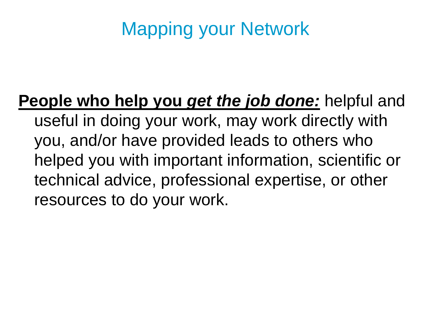# Mapping your Network

**People who help you** *get the job done:* helpful and useful in doing your work, may work directly with you, and/or have provided leads to others who helped you with important information, scientific or technical advice, professional expertise, or other resources to do your work.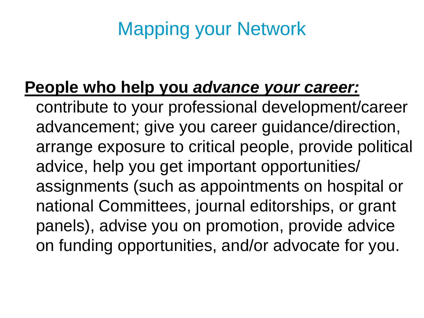# Mapping your Network

## **People who help you** *advance your career:*

contribute to your professional development/career advancement; give you career guidance/direction, arrange exposure to critical people, provide political advice, help you get important opportunities/ assignments (such as appointments on hospital or national Committees, journal editorships, or grant panels), advise you on promotion, provide advice on funding opportunities, and/or advocate for you.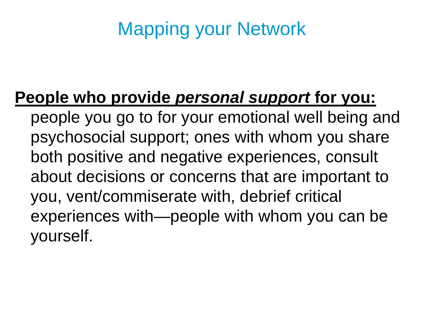# Mapping your Network

### **People who provide** *personal support* **for you:**

people you go to for your emotional well being and psychosocial support; ones with whom you share both positive and negative experiences, consult about decisions or concerns that are important to you, vent/commiserate with, debrief critical experiences with—people with whom you can be yourself.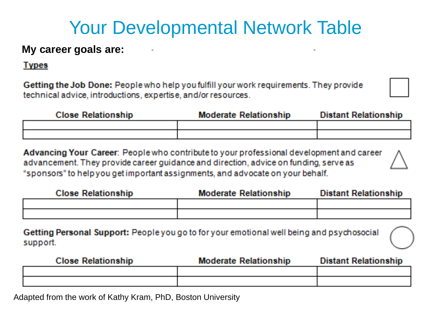## Your Developmental Network Table

#### **My career goals are:**

#### **Types**

Getting the Job Done: People who help you fulfill your work requirements. They provide technical advice, introductions, expertise, and/or resources.

| <b>Close Relationship</b> | <b>Moderate Relationship</b> | <b>Distant Relationship</b> |
|---------------------------|------------------------------|-----------------------------|
|                           |                              |                             |
|                           |                              |                             |

Advancing Your Career: People who contribute to your professional development and career advancement. They provide career guidance and direction, advice on funding, serve as "sponsors" to help you get important assignments, and advocate on your behalf.

| <b>Close Relationship</b> | <b>Moderate Relationship</b> | Distant Relationship |
|---------------------------|------------------------------|----------------------|
|                           |                              |                      |
|                           |                              |                      |

Getting Personal Support: People you go to for your emotional well being and psychosocial support.

| <b>Close Relationship</b> | <b>Moderate Relationship</b> | <b>Distant Relationship</b> |
|---------------------------|------------------------------|-----------------------------|
|                           |                              |                             |
|                           |                              |                             |

Adapted from the work of Kathy Kram, PhD, Boston University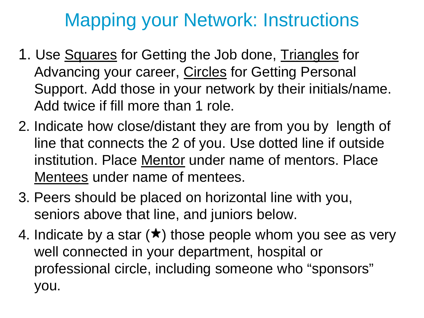# Mapping your Network: Instructions

- 1. Use Squares for Getting the Job done, Triangles for Advancing your career, Circles for Getting Personal Support. Add those in your network by their initials/name. Add twice if fill more than 1 role.
- 2. Indicate how close/distant they are from you by length of line that connects the 2 of you. Use dotted line if outside institution. Place Mentor under name of mentors. Place Mentees under name of mentees.
- 3. Peers should be placed on horizontal line with you, seniors above that line, and juniors below.
- 4. Indicate by a star  $(\star)$  those people whom you see as very well connected in your department, hospital or professional circle, including someone who "sponsors" you.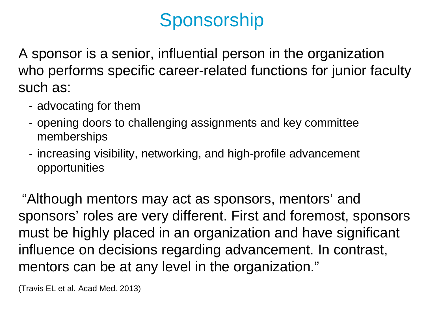# Sponsorship

A sponsor is a senior, influential person in the organization who performs specific career-related functions for junior faculty such as:

- advocating for them
- opening doors to challenging assignments and key committee memberships
- increasing visibility, networking, and high-profile advancement opportunities

"Although mentors may act as sponsors, mentors' and sponsors' roles are very different. First and foremost, sponsors must be highly placed in an organization and have significant influence on decisions regarding advancement. In contrast, mentors can be at any level in the organization."

(Travis EL et al. Acad Med*.* 2013)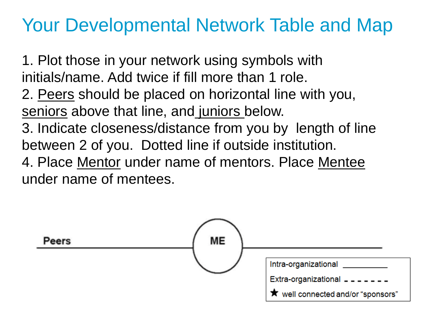## Your Developmental Network Table and Map

1. Plot those in your network using symbols with initials/name. Add twice if fill more than 1 role. 2. Peers should be placed on horizontal line with you, seniors above that line, and juniors below. 3. Indicate closeness/distance from you by length of line between 2 of you. Dotted line if outside institution. 4. Place Mentor under name of mentors. Place Mentee under name of mentees.

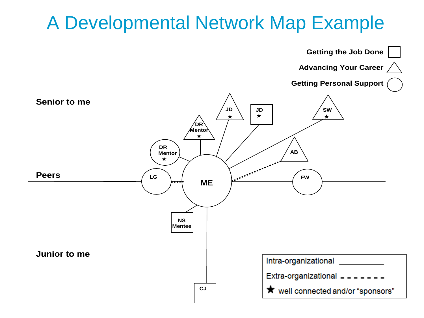## A Developmental Network Map Example

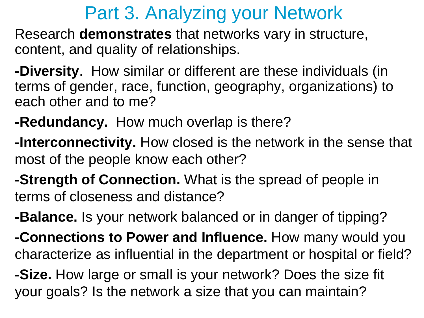## Part 3. Analyzing your Network

Research **demonstrates** that networks vary in structure, content, and quality of relationships.

**-Diversity**. How similar or different are these individuals (in terms of gender, race, function, geography, organizations) to each other and to me?

- **-Redundancy.** How much overlap is there?
- **-Interconnectivity.** How closed is the network in the sense that most of the people know each other?
- **-Strength of Connection.** What is the spread of people in terms of closeness and distance?
- **-Balance.** Is your network balanced or in danger of tipping?
- **-Connections to Power and Influence.** How many would you characterize as influential in the department or hospital or field?

**-Size.** How large or small is your network? Does the size fit your goals? Is the network a size that you can maintain?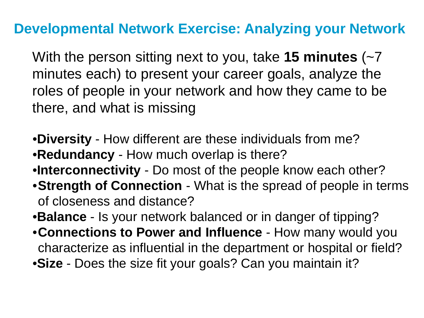### **Developmental Network Exercise: Analyzing your Network**

With the person sitting next to you, take **15 minutes** (~7 minutes each) to present your career goals, analyze the roles of people in your network and how they came to be there, and what is missing

- •**Diversity** How different are these individuals from me? •**Redundancy** - How much overlap is there?
- •**Interconnectivity** Do most of the people know each other?
- •**Strength of Connection**  What is the spread of people in terms of closeness and distance?
- •**Balance** Is your network balanced or in danger of tipping?
- •**Connections to Power and Influence**  How many would you characterize as influential in the department or hospital or field?
- •**Size**  Does the size fit your goals? Can you maintain it?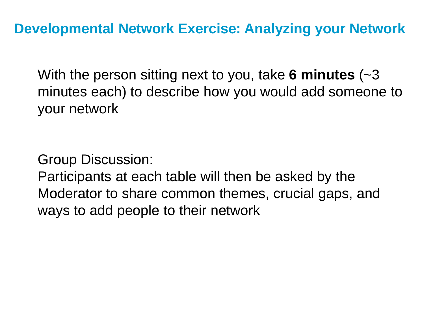With the person sitting next to you, take **6 minutes** (~3 minutes each) to describe how you would add someone to your network

Group Discussion:

Participants at each table will then be asked by the Moderator to share common themes, crucial gaps, and ways to add people to their network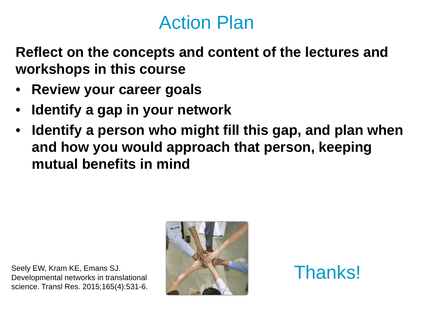## Action Plan

**Reflect on the concepts and content of the lectures and workshops in this course** 

- **Review your career goals**
- **Identify a gap in your network**
- **Identify a person who might fill this gap, and plan when and how you would approach that person, keeping mutual benefits in mind**

Seely EW, Kram KE, Emans SJ. Developmental networks in translational science. Transl Res. 2015;165(4):531-6.